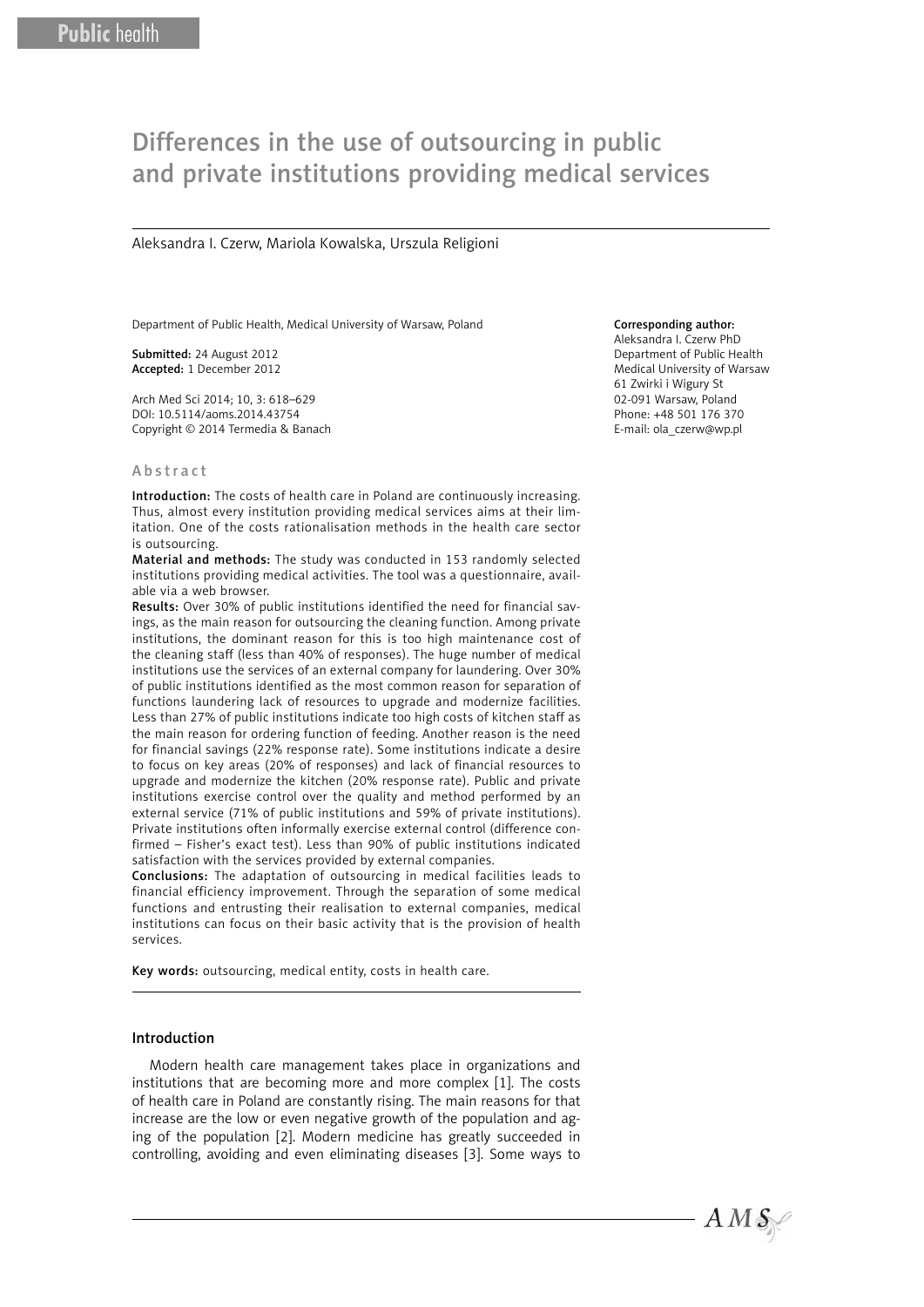# Differences in the use of outsourcing in public and private institutions providing medical services

Aleksandra I. Czerw, Mariola Kowalska, Urszula Religioni

Department of Public Health, Medical University of Warsaw, Poland

Submitted: 24 August 2012 Accepted: 1 December 2012

Arch Med Sci 2014; 10, 3: 618–629 DOI: 10.5114/aoms.2014.43754 Copyright © 2014 Termedia & Banach

## Abstract

Introduction: The costs of health care in Poland are continuously increasing. Thus, almost every institution providing medical services aims at their limitation. One of the costs rationalisation methods in the health care sector is outsourcing.

Material and methods: The study was conducted in 153 randomly selected institutions providing medical activities. The tool was a questionnaire, available via a web browser.

Results: Over 30% of public institutions identified the need for financial savings, as the main reason for outsourcing the cleaning function. Among private institutions, the dominant reason for this is too high maintenance cost of the cleaning staff (less than 40% of responses). The huge number of medical institutions use the services of an external company for laundering. Over 30% of public institutions identified as the most common reason for separation of functions laundering lack of resources to upgrade and modernize facilities. Less than 27% of public institutions indicate too high costs of kitchen staff as the main reason for ordering function of feeding. Another reason is the need for financial savings (22% response rate). Some institutions indicate a desire to focus on key areas (20% of responses) and lack of financial resources to upgrade and modernize the kitchen (20% response rate). Public and private institutions exercise control over the quality and method performed by an external service (71% of public institutions and 59% of private institutions). Private institutions often informally exercise external control (difference confirmed – Fisher's exact test). Less than 90% of public institutions indicated satisfaction with the services provided by external companies.

Conclusions: The adaptation of outsourcing in medical facilities leads to financial efficiency improvement. Through the separation of some medical functions and entrusting their realisation to external companies, medical institutions can focus on their basic activity that is the provision of health services.

Key words: outsourcing, medical entity, costs in health care.

#### Introduction

Modern health care management takes place in organizations and institutions that are becoming more and more complex [1]. The costs of health care in Poland are constantly rising. The main reasons for that increase are the low or even negative growth of the population and aging of the population [2]. Modern medicine has greatly succeeded in controlling, avoiding and even eliminating diseases [3]. Some ways to

#### Corresponding author:

Aleksandra I. Czerw PhD Department of Public Health Medical University of Warsaw 61 Zwirki i Wigury St 02-091 Warsaw, Poland Phone: +48 501 176 370 E-mail: ola\_czerw@wp.pl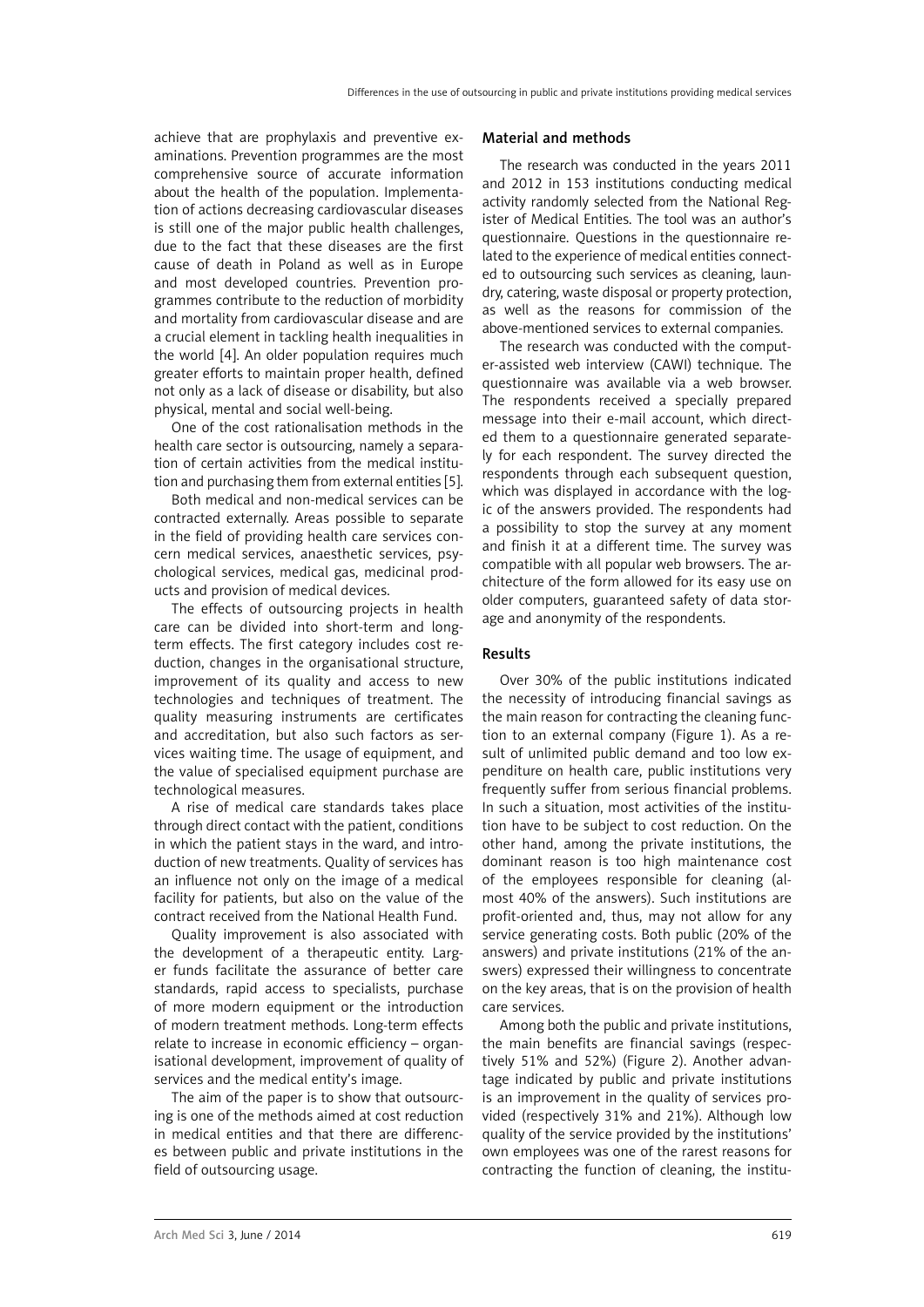achieve that are prophylaxis and preventive examinations. Prevention programmes are the most comprehensive source of accurate information about the health of the population. Implementation of actions decreasing cardiovascular diseases is still one of the major public health challenges, due to the fact that these diseases are the first cause of death in Poland as well as in Europe and most developed countries. Prevention programmes contribute to the reduction of morbidity and mortality from cardiovascular disease and are a crucial element in tackling health inequalities in the world [4]. An older population requires much greater efforts to maintain proper health, defined not only as a lack of disease or disability, but also physical, mental and social well-being.

One of the cost rationalisation methods in the health care sector is outsourcing, namely a separation of certain activities from the medical institution and purchasing them from external entities [5].

Both medical and non-medical services can be contracted externally. Areas possible to separate in the field of providing health care services concern medical services, anaesthetic services, psychological services, medical gas, medicinal products and provision of medical devices.

The effects of outsourcing projects in health care can be divided into short-term and longterm effects. The first category includes cost reduction, changes in the organisational structure, improvement of its quality and access to new technologies and techniques of treatment. The quality measuring instruments are certificates and accreditation, but also such factors as services waiting time. The usage of equipment, and the value of specialised equipment purchase are technological measures.

A rise of medical care standards takes place through direct contact with the patient, conditions in which the patient stays in the ward, and introduction of new treatments. Quality of services has an influence not only on the image of a medical facility for patients, but also on the value of the contract received from the National Health Fund.

Quality improvement is also associated with the development of a therapeutic entity. Larger funds facilitate the assurance of better care standards, rapid access to specialists, purchase of more modern equipment or the introduction of modern treatment methods. Long-term effects relate to increase in economic efficiency – organisational development, improvement of quality of services and the medical entity's image.

The aim of the paper is to show that outsourcing is one of the methods aimed at cost reduction in medical entities and that there are differences between public and private institutions in the field of outsourcing usage.

#### Material and methods

The research was conducted in the years 2011 and 2012 in 153 institutions conducting medical activity randomly selected from the National Register of Medical Entities. The tool was an author's questionnaire. Questions in the questionnaire related to the experience of medical entities connected to outsourcing such services as cleaning, laundry, catering, waste disposal or property protection, as well as the reasons for commission of the above-mentioned services to external companies.

The research was conducted with the computer-assisted web interview (CAWI) technique. The questionnaire was available via a web browser. The respondents received a specially prepared message into their e-mail account, which directed them to a questionnaire generated separately for each respondent. The survey directed the respondents through each subsequent question, which was displayed in accordance with the logic of the answers provided. The respondents had a possibility to stop the survey at any moment and finish it at a different time. The survey was compatible with all popular web browsers. The architecture of the form allowed for its easy use on older computers, guaranteed safety of data storage and anonymity of the respondents.

## Results

Over 30% of the public institutions indicated the necessity of introducing financial savings as the main reason for contracting the cleaning function to an external company (Figure 1). As a result of unlimited public demand and too low expenditure on health care, public institutions very frequently suffer from serious financial problems. In such a situation, most activities of the institution have to be subject to cost reduction. On the other hand, among the private institutions, the dominant reason is too high maintenance cost of the employees responsible for cleaning (almost 40% of the answers). Such institutions are profit-oriented and, thus, may not allow for any service generating costs. Both public (20% of the answers) and private institutions (21% of the answers) expressed their willingness to concentrate on the key areas, that is on the provision of health care services.

Among both the public and private institutions, the main benefits are financial savings (respectively 51% and 52%) (Figure 2). Another advantage indicated by public and private institutions is an improvement in the quality of services provided (respectively 31% and 21%). Although low quality of the service provided by the institutions' own employees was one of the rarest reasons for contracting the function of cleaning, the institu-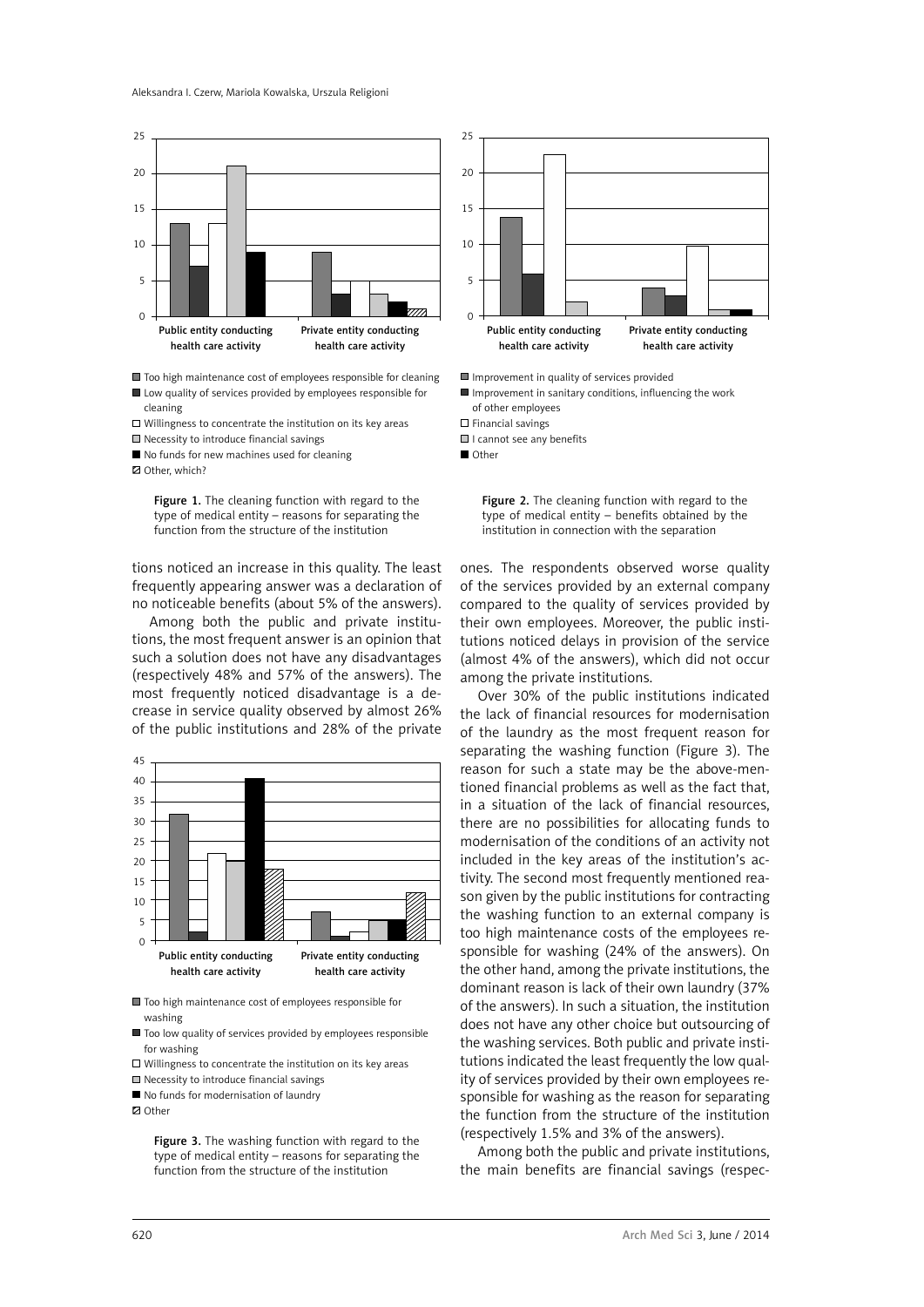

■ Too high maintenance cost of employees responsible for cleaning Low quality of services provided by employees responsible for cleaning

 $\square$  Willingness to concentrate the institution on its key areas  $\blacksquare$  Necessity to introduce financial savings

No funds for new machines used for cleaning

Z Other which?

Figure 1. The cleaning function with regard to the type of medical entity – reasons for separating the function from the structure of the institution

tions noticed an increase in this quality. The least frequently appearing answer was a declaration of no noticeable benefits (about 5% of the answers).

Among both the public and private institutions, the most frequent answer is an opinion that such a solution does not have any disadvantages (respectively 48% and 57% of the answers). The most frequently noticed disadvantage is a decrease in service quality observed by almost 26% of the public institutions and 28% of the private



■ Too high maintenance cost of employees responsible for washing

- Too low quality of services provided by employees responsible for washing
- $\square$  Willingness to concentrate the institution on its key areas
- Necessity to introduce financial savings
- No funds for modernisation of laundry

**Z** Other

Figure 3. The washing function with regard to the type of medical entity – reasons for separating the function from the structure of the institution



**Improvement in sanitary conditions, influencing the work** of other employees

 $\square$  Financial savings

 $\blacksquare$  I cannot see any benefits

Other

Figure 2. The cleaning function with regard to the type of medical entity – benefits obtained by the institution in connection with the separation

ones. The respondents observed worse quality of the services provided by an external company compared to the quality of services provided by their own employees. Moreover, the public institutions noticed delays in provision of the service (almost 4% of the answers), which did not occur among the private institutions.

Over 30% of the public institutions indicated the lack of financial resources for modernisation of the laundry as the most frequent reason for separating the washing function (Figure 3). The reason for such a state may be the above-mentioned financial problems as well as the fact that, in a situation of the lack of financial resources, there are no possibilities for allocating funds to modernisation of the conditions of an activity not included in the key areas of the institution's activity. The second most frequently mentioned reason given by the public institutions for contracting the washing function to an external company is too high maintenance costs of the employees responsible for washing (24% of the answers). On the other hand, among the private institutions, the dominant reason is lack of their own laundry (37% of the answers). In such a situation, the institution does not have any other choice but outsourcing of the washing services. Both public and private institutions indicated the least frequently the low quality of services provided by their own employees responsible for washing as the reason for separating the function from the structure of the institution (respectively 1.5% and 3% of the answers).

Among both the public and private institutions, the main benefits are financial savings (respec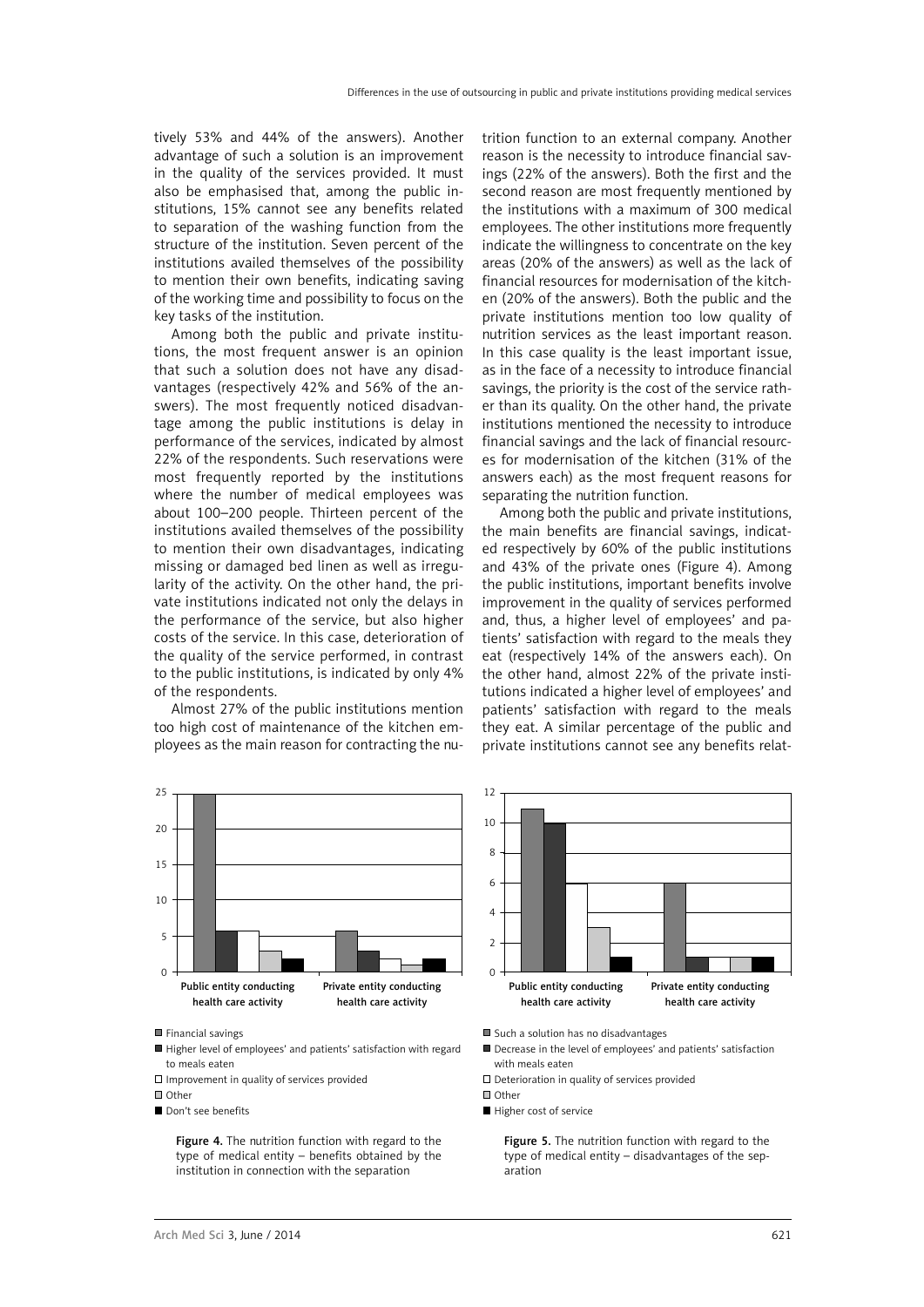tively 53% and 44% of the answers). Another advantage of such a solution is an improvement in the quality of the services provided. It must also be emphasised that, among the public institutions, 15% cannot see any benefits related to separation of the washing function from the structure of the institution. Seven percent of the institutions availed themselves of the possibility to mention their own benefits, indicating saving of the working time and possibility to focus on the key tasks of the institution.

Among both the public and private institutions, the most frequent answer is an opinion that such a solution does not have any disadvantages (respectively 42% and 56% of the answers). The most frequently noticed disadvantage among the public institutions is delay in performance of the services, indicated by almost 22% of the respondents. Such reservations were most frequently reported by the institutions where the number of medical employees was about 100–200 people. Thirteen percent of the institutions availed themselves of the possibility to mention their own disadvantages, indicating missing or damaged bed linen as well as irregularity of the activity. On the other hand, the private institutions indicated not only the delays in the performance of the service, but also higher costs of the service. In this case, deterioration of the quality of the service performed, in contrast to the public institutions, is indicated by only 4% of the respondents.

Almost 27% of the public institutions mention too high cost of maintenance of the kitchen employees as the main reason for contracting the nutrition function to an external company. Another reason is the necessity to introduce financial savings (22% of the answers). Both the first and the second reason are most frequently mentioned by the institutions with a maximum of 300 medical employees. The other institutions more frequently indicate the willingness to concentrate on the key areas (20% of the answers) as well as the lack of financial resources for modernisation of the kitchen (20% of the answers). Both the public and the private institutions mention too low quality of nutrition services as the least important reason. In this case quality is the least important issue, as in the face of a necessity to introduce financial savings, the priority is the cost of the service rather than its quality. On the other hand, the private institutions mentioned the necessity to introduce financial savings and the lack of financial resources for modernisation of the kitchen (31% of the answers each) as the most frequent reasons for separating the nutrition function.

Among both the public and private institutions, the main benefits are financial savings, indicated respectively by 60% of the public institutions and 43% of the private ones (Figure 4). Among the public institutions, important benefits involve improvement in the quality of services performed and, thus, a higher level of employees' and patients' satisfaction with regard to the meals they eat (respectively 14% of the answers each). On the other hand, almost 22% of the private institutions indicated a higher level of employees' and patients' satisfaction with regard to the meals they eat. A similar percentage of the public and private institutions cannot see any benefits relat-



Financial savings

- Higher level of employees' and patients' satisfaction with regard to meals eaten
- $\square$  Improvement in quality of services provided
- $\Box$  Other
- Don't see benefits

Figure 4. The nutrition function with regard to the type of medical entity – benefits obtained by the institution in connection with the separation



- Such a solution has no disadvantages
- Decrease in the level of employees' and patients' satisfaction with meals eaten
- $\square$  Deterioration in quality of services provided
- $\Box$  Other
- Higher cost of service

Figure 5. The nutrition function with regard to the type of medical entity – disadvantages of the separation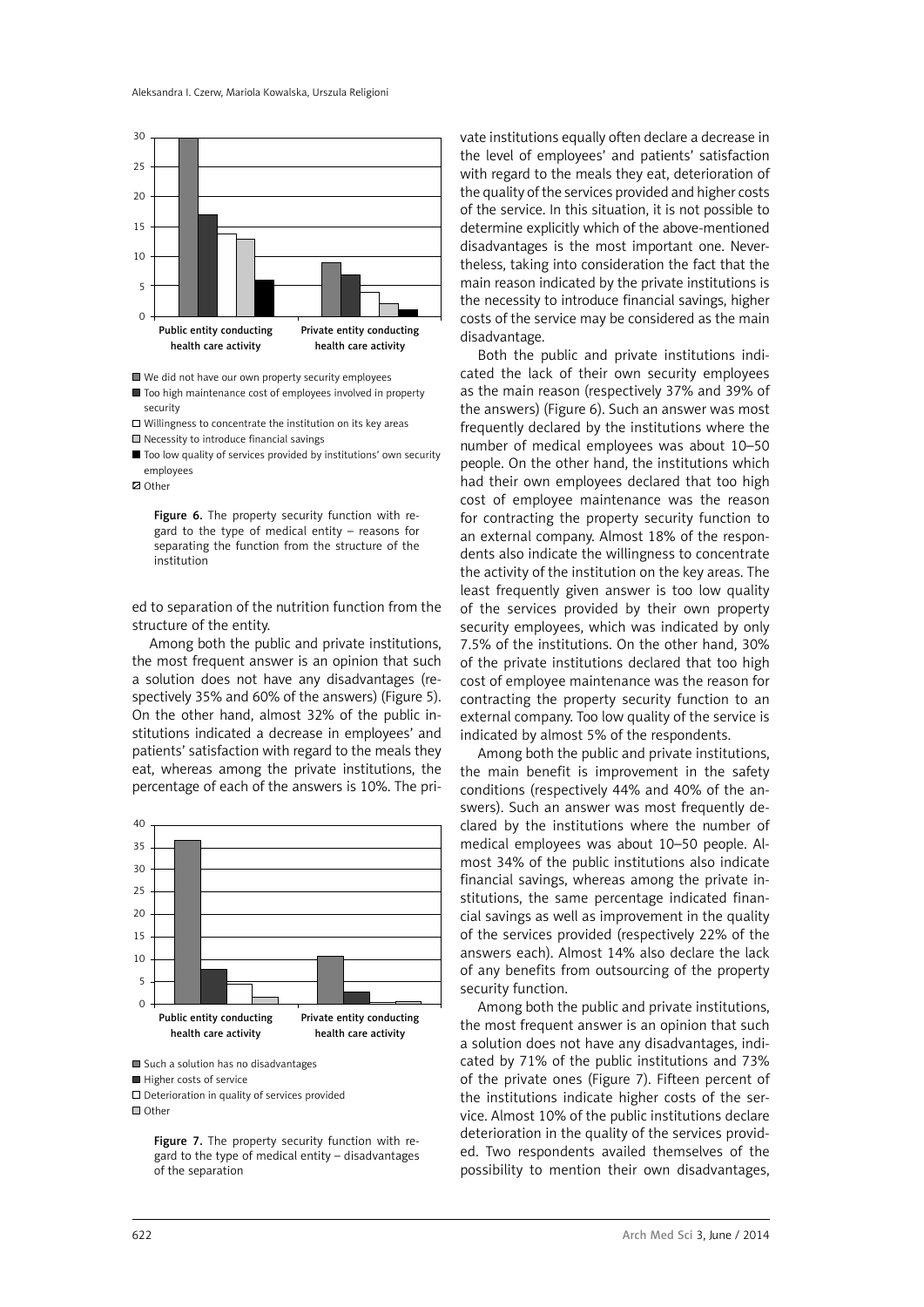

We did not have our own property security employees

- Too high maintenance cost of employees involved in property security
- $\square$  Willingness to concentrate the institution on its key areas  $\blacksquare$  Necessity to introduce financial savings
- Too low quality of services provided by institutions' own security employees
- **Z** Other

Figure 6. The property security function with regard to the type of medical entity – reasons for separating the function from the structure of the institution

ed to separation of the nutrition function from the structure of the entity.

Among both the public and private institutions, the most frequent answer is an opinion that such a solution does not have any disadvantages (respectively 35% and 60% of the answers) (Figure 5). On the other hand, almost 32% of the public institutions indicated a decrease in employees' and patients' satisfaction with regard to the meals they eat, whereas among the private institutions, the percentage of each of the answers is 10%. The pri-





Higher costs of service

 $\square$  Deterioration in quality of services provided

Other

Figure 7. The property security function with regard to the type of medical entity – disadvantages of the separation

vate institutions equally often declare a decrease in the level of employees' and patients' satisfaction with regard to the meals they eat, deterioration of the quality of the services provided and higher costs of the service. In this situation, it is not possible to determine explicitly which of the above-mentioned disadvantages is the most important one. Nevertheless, taking into consideration the fact that the main reason indicated by the private institutions is the necessity to introduce financial savings, higher costs of the service may be considered as the main disadvantage.

Both the public and private institutions indicated the lack of their own security employees as the main reason (respectively 37% and 39% of the answers) (Figure 6). Such an answer was most frequently declared by the institutions where the number of medical employees was about 10–50 people. On the other hand, the institutions which had their own employees declared that too high cost of employee maintenance was the reason for contracting the property security function to an external company. Almost 18% of the respondents also indicate the willingness to concentrate the activity of the institution on the key areas. The least frequently given answer is too low quality of the services provided by their own property security employees, which was indicated by only 7.5% of the institutions. On the other hand, 30% of the private institutions declared that too high cost of employee maintenance was the reason for contracting the property security function to an external company. Too low quality of the service is indicated by almost 5% of the respondents.

Among both the public and private institutions, the main benefit is improvement in the safety conditions (respectively 44% and 40% of the answers). Such an answer was most frequently declared by the institutions where the number of medical employees was about 10–50 people. Almost 34% of the public institutions also indicate financial savings, whereas among the private institutions, the same percentage indicated financial savings as well as improvement in the quality of the services provided (respectively 22% of the answers each). Almost 14% also declare the lack of any benefits from outsourcing of the property security function.

Among both the public and private institutions, the most frequent answer is an opinion that such a solution does not have any disadvantages, indicated by 71% of the public institutions and 73% of the private ones (Figure 7). Fifteen percent of the institutions indicate higher costs of the service. Almost 10% of the public institutions declare deterioration in the quality of the services provided. Two respondents availed themselves of the possibility to mention their own disadvantages,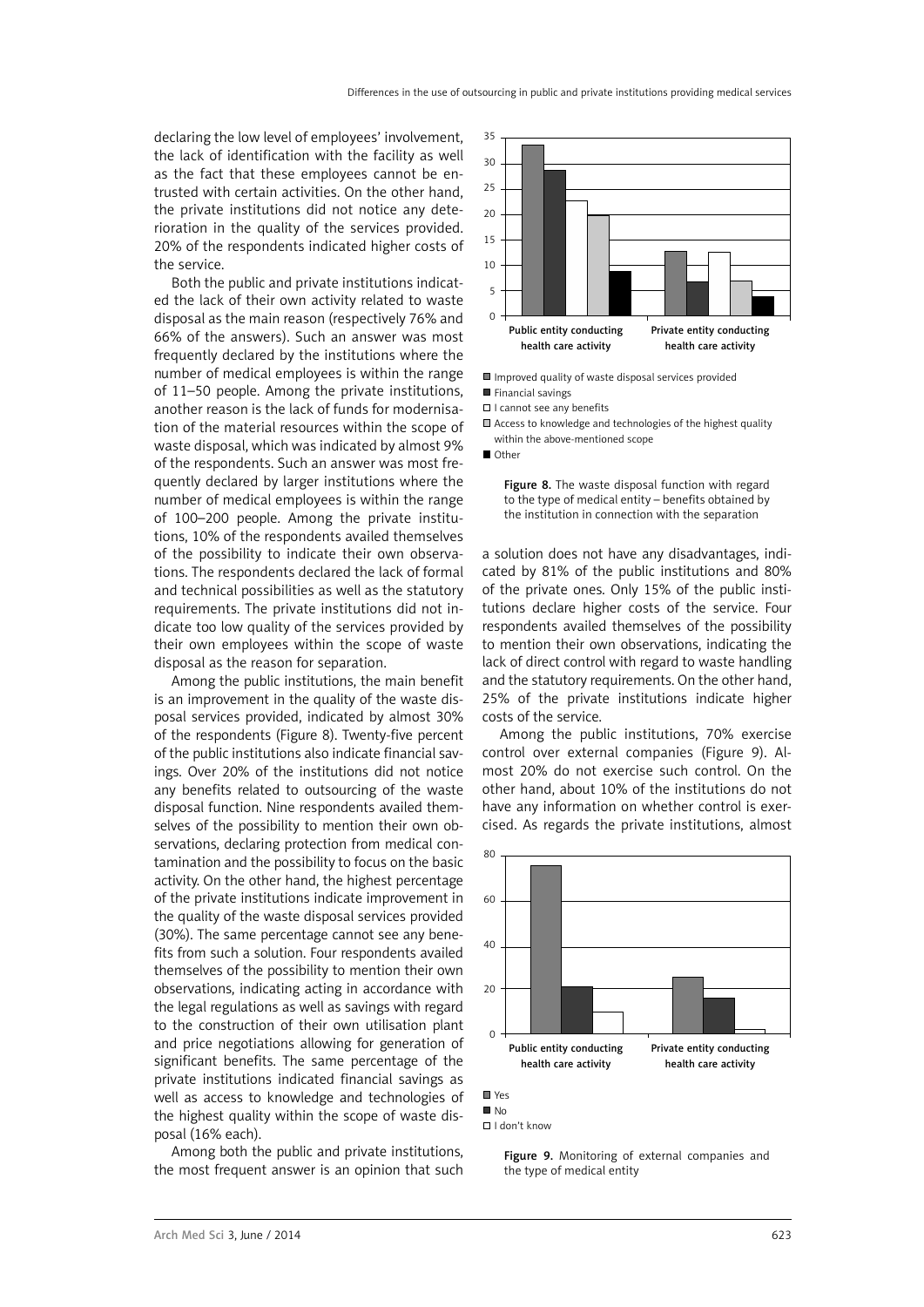declaring the low level of employees' involvement, the lack of identification with the facility as well as the fact that these employees cannot be entrusted with certain activities. On the other hand, the private institutions did not notice any deterioration in the quality of the services provided. 20% of the respondents indicated higher costs of the service.

Both the public and private institutions indicated the lack of their own activity related to waste disposal as the main reason (respectively 76% and 66% of the answers). Such an answer was most frequently declared by the institutions where the number of medical employees is within the range of 11–50 people. Among the private institutions, another reason is the lack of funds for modernisation of the material resources within the scope of waste disposal, which was indicated by almost 9% of the respondents. Such an answer was most frequently declared by larger institutions where the number of medical employees is within the range of 100–200 people. Among the private institutions, 10% of the respondents availed themselves of the possibility to indicate their own observations. The respondents declared the lack of formal and technical possibilities as well as the statutory requirements. The private institutions did not indicate too low quality of the services provided by their own employees within the scope of waste disposal as the reason for separation.

Among the public institutions, the main benefit is an improvement in the quality of the waste disposal services provided, indicated by almost 30% of the respondents (Figure 8). Twenty-five percent of the public institutions also indicate financial savings. Over 20% of the institutions did not notice any benefits related to outsourcing of the waste disposal function. Nine respondents availed themselves of the possibility to mention their own observations, declaring protection from medical contamination and the possibility to focus on the basic activity. On the other hand, the highest percentage of the private institutions indicate improvement in the quality of the waste disposal services provided (30%). The same percentage cannot see any benefits from such a solution. Four respondents availed themselves of the possibility to mention their own observations, indicating acting in accordance with the legal regulations as well as savings with regard to the construction of their own utilisation plant and price negotiations allowing for generation of significant benefits. The same percentage of the private institutions indicated financial savings as well as access to knowledge and technologies of the highest quality within the scope of waste disposal (16% each).

Among both the public and private institutions, the most frequent answer is an opinion that such



 $\blacksquare$  Improved quality of waste disposal services provided

Financial savings

 $\Box$  I cannot see any benefits

 $\Box$  Access to knowledge and technologies of the highest quality within the above-mentioned scope

#### $\blacksquare$  Other



a solution does not have any disadvantages, indicated by 81% of the public institutions and 80% of the private ones. Only 15% of the public institutions declare higher costs of the service. Four respondents availed themselves of the possibility to mention their own observations, indicating the lack of direct control with regard to waste handling and the statutory requirements. On the other hand, 25% of the private institutions indicate higher costs of the service.

Among the public institutions, 70% exercise control over external companies (Figure 9). Almost 20% do not exercise such control. On the other hand, about 10% of the institutions do not have any information on whether control is exercised. As regards the private institutions, almost



#### ■ No

 $\Pi$  I don't know

Figure 9. Monitoring of external companies and the type of medical entity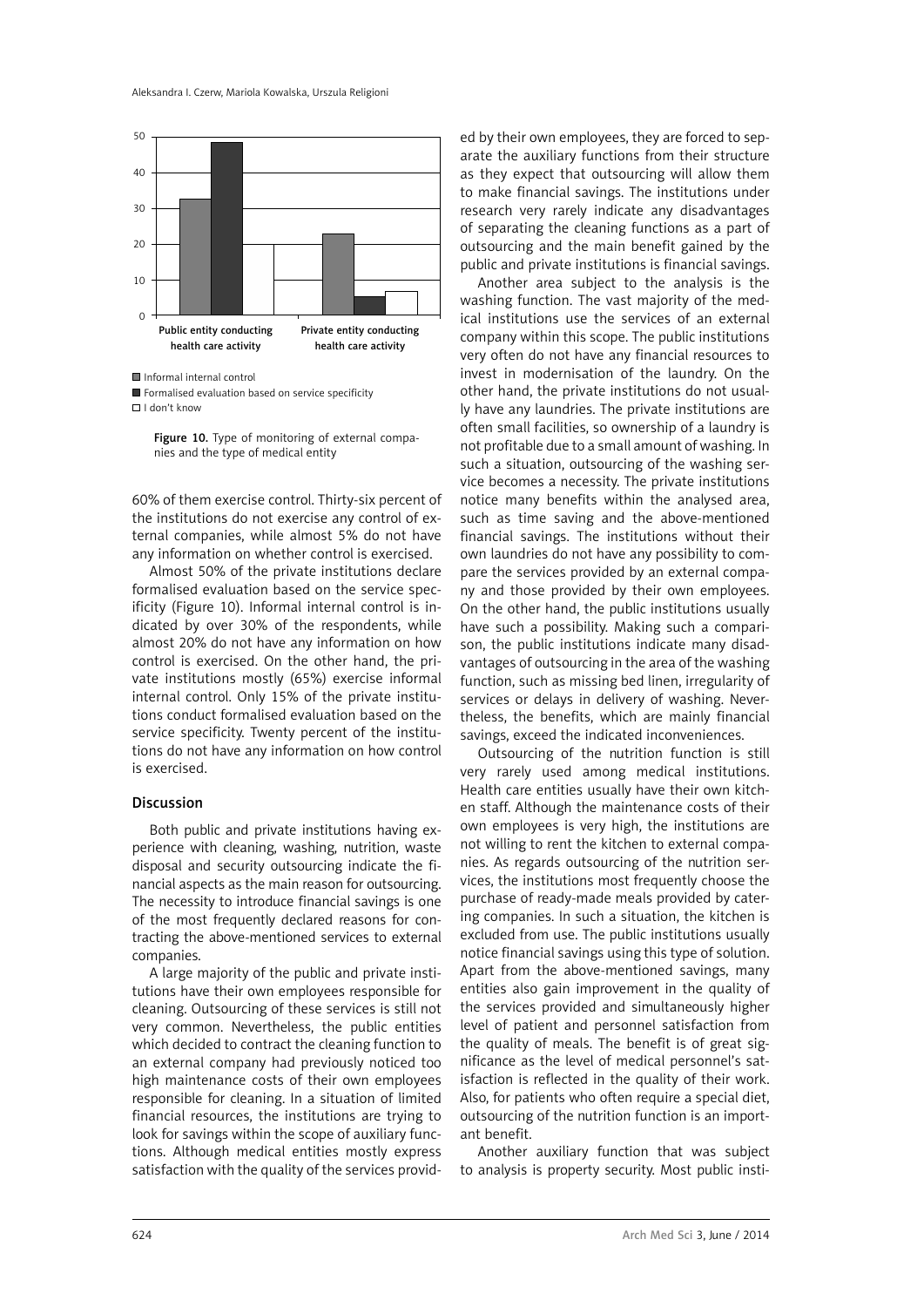

Informal internal control

Formalised evaluation based on service specificity  $\Pi$  I don't know

Figure 10. Type of monitoring of external companies and the type of medical entity

60% of them exercise control. Thirty-six percent of the institutions do not exercise any control of external companies, while almost 5% do not have any information on whether control is exercised.

Almost 50% of the private institutions declare formalised evaluation based on the service specificity (Figure 10). Informal internal control is indicated by over 30% of the respondents, while almost 20% do not have any information on how control is exercised. On the other hand, the private institutions mostly (65%) exercise informal internal control. Only 15% of the private institutions conduct formalised evaluation based on the service specificity. Twenty percent of the institutions do not have any information on how control is exercised.

## Discussion

Both public and private institutions having experience with cleaning, washing, nutrition, waste disposal and security outsourcing indicate the financial aspects as the main reason for outsourcing. The necessity to introduce financial savings is one of the most frequently declared reasons for contracting the above-mentioned services to external companies.

A large majority of the public and private institutions have their own employees responsible for cleaning. Outsourcing of these services is still not very common. Nevertheless, the public entities which decided to contract the cleaning function to an external company had previously noticed too high maintenance costs of their own employees responsible for cleaning. In a situation of limited financial resources, the institutions are trying to look for savings within the scope of auxiliary functions. Although medical entities mostly express satisfaction with the quality of the services provided by their own employees, they are forced to separate the auxiliary functions from their structure as they expect that outsourcing will allow them to make financial savings. The institutions under research very rarely indicate any disadvantages of separating the cleaning functions as a part of outsourcing and the main benefit gained by the public and private institutions is financial savings.

Another area subject to the analysis is the washing function. The vast majority of the medical institutions use the services of an external company within this scope. The public institutions very often do not have any financial resources to invest in modernisation of the laundry. On the other hand, the private institutions do not usually have any laundries. The private institutions are often small facilities, so ownership of a laundry is not profitable due to a small amount of washing. In such a situation, outsourcing of the washing service becomes a necessity. The private institutions notice many benefits within the analysed area, such as time saving and the above-mentioned financial savings. The institutions without their own laundries do not have any possibility to compare the services provided by an external company and those provided by their own employees. On the other hand, the public institutions usually have such a possibility. Making such a comparison, the public institutions indicate many disadvantages of outsourcing in the area of the washing function, such as missing bed linen, irregularity of services or delays in delivery of washing. Nevertheless, the benefits, which are mainly financial savings, exceed the indicated inconveniences.

Outsourcing of the nutrition function is still very rarely used among medical institutions. Health care entities usually have their own kitchen staff. Although the maintenance costs of their own employees is very high, the institutions are not willing to rent the kitchen to external companies. As regards outsourcing of the nutrition services, the institutions most frequently choose the purchase of ready-made meals provided by catering companies. In such a situation, the kitchen is excluded from use. The public institutions usually notice financial savings using this type of solution. Apart from the above-mentioned savings, many entities also gain improvement in the quality of the services provided and simultaneously higher level of patient and personnel satisfaction from the quality of meals. The benefit is of great significance as the level of medical personnel's satisfaction is reflected in the quality of their work. Also, for patients who often require a special diet, outsourcing of the nutrition function is an important benefit.

Another auxiliary function that was subject to analysis is property security. Most public insti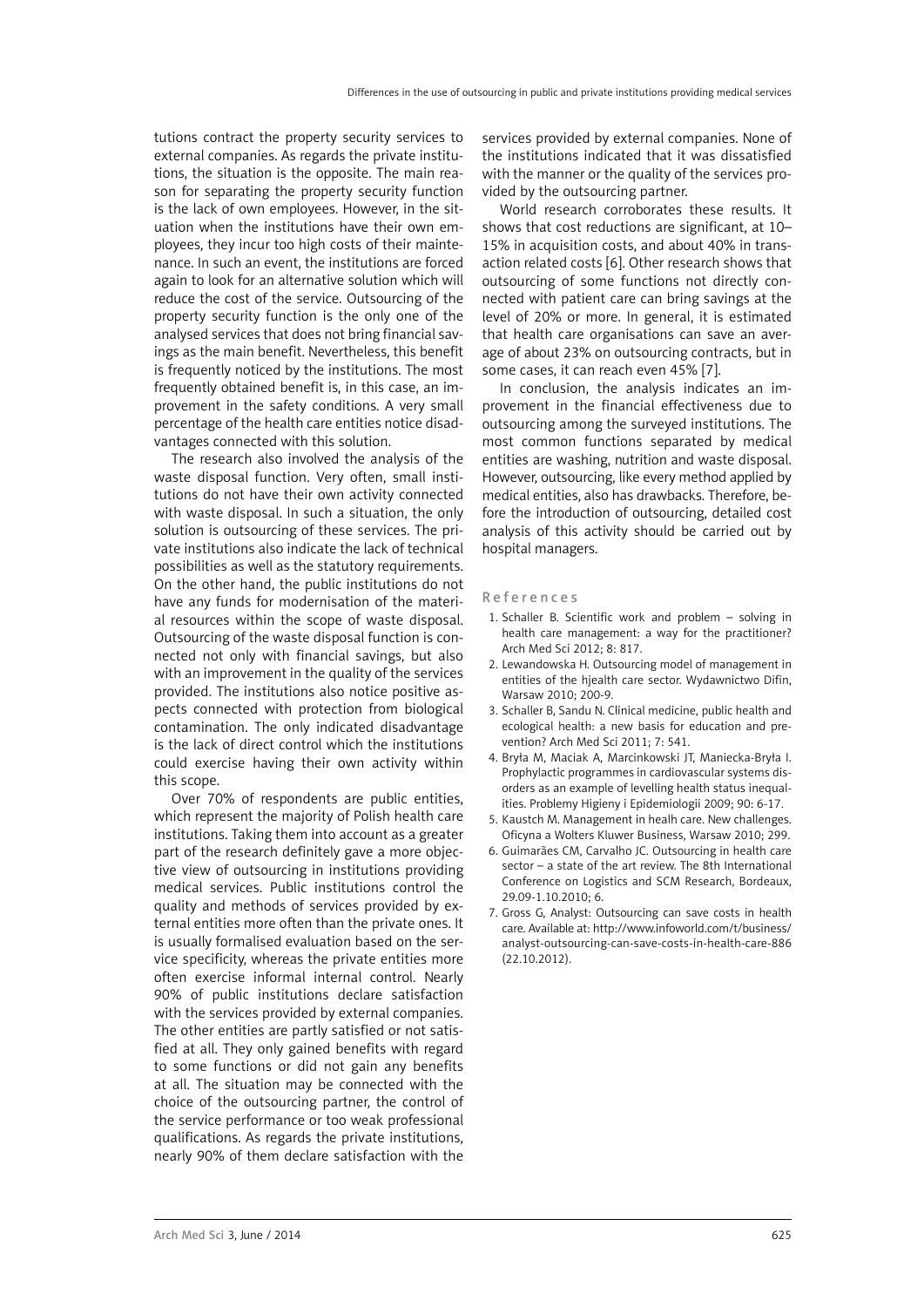tutions contract the property security services to external companies. As regards the private institutions, the situation is the opposite. The main reason for separating the property security function is the lack of own employees. However, in the situation when the institutions have their own employees, they incur too high costs of their maintenance. In such an event, the institutions are forced again to look for an alternative solution which will reduce the cost of the service. Outsourcing of the property security function is the only one of the analysed services that does not bring financial savings as the main benefit. Nevertheless, this benefit is frequently noticed by the institutions. The most frequently obtained benefit is, in this case, an improvement in the safety conditions. A very small percentage of the health care entities notice disadvantages connected with this solution.

The research also involved the analysis of the waste disposal function. Very often, small institutions do not have their own activity connected with waste disposal. In such a situation, the only solution is outsourcing of these services. The private institutions also indicate the lack of technical possibilities as well as the statutory requirements. On the other hand, the public institutions do not have any funds for modernisation of the material resources within the scope of waste disposal. Outsourcing of the waste disposal function is connected not only with financial savings, but also with an improvement in the quality of the services provided. The institutions also notice positive aspects connected with protection from biological contamination. The only indicated disadvantage is the lack of direct control which the institutions could exercise having their own activity within this scope.

Over 70% of respondents are public entities, which represent the majority of Polish health care institutions. Taking them into account as a greater part of the research definitely gave a more objective view of outsourcing in institutions providing medical services. Public institutions control the quality and methods of services provided by external entities more often than the private ones. It is usually formalised evaluation based on the service specificity, whereas the private entities more often exercise informal internal control. Nearly 90% of public institutions declare satisfaction with the services provided by external companies. The other entities are partly satisfied or not satisfied at all. They only gained benefits with regard to some functions or did not gain any benefits at all. The situation may be connected with the choice of the outsourcing partner, the control of the service performance or too weak professional qualifications. As regards the private institutions, nearly 90% of them declare satisfaction with the

services provided by external companies. None of the institutions indicated that it was dissatisfied with the manner or the quality of the services provided by the outsourcing partner.

World research corroborates these results. It shows that cost reductions are significant, at 10– 15% in acquisition costs, and about 40% in transaction related costs [6]. Other research shows that outsourcing of some functions not directly connected with patient care can bring savings at the level of 20% or more. In general, it is estimated that health care organisations can save an average of about 23% on outsourcing contracts, but in some cases, it can reach even 45% [7].

In conclusion, the analysis indicates an improvement in the financial effectiveness due to outsourcing among the surveyed institutions. The most common functions separated by medical entities are washing, nutrition and waste disposal. However, outsourcing, like every method applied by medical entities, also has drawbacks. Therefore, before the introduction of outsourcing, detailed cost analysis of this activity should be carried out by hospital managers.

### References

- 1. Schaller B. Scientific work and problem solving in health care management: a way for the practitioner? Arch Med Sci 2012; 8: 817.
- 2. Lewandowska H. Outsourcing model of management in entities of the hjealth care sector. Wydawnictwo Difin, Warsaw 2010; 200-9.
- 3. Schaller B, Sandu N. Clinical medicine, public health and ecological health: a new basis for education and prevention? Arch Med Sci 2011; 7: 541.
- 4. Bryła M, Maciak A, Marcinkowski JT, Maniecka-Bryła I. Prophylactic programmes in cardiovascular systems disorders as an example of levelling health status inequalities. Problemy Higieny i Epidemiologii 2009; 90: 6-17.
- 5. Kaustch M. Management in healh care. New challenges. Oficyna a Wolters Kluwer Business, Warsaw 2010; 299.
- 6. Guimarães CM, Carvalho JC. Outsourcing in health care sector – a state of the art review. The 8th International Conference on Logistics and SCM Research, Bordeaux, 29.09-1.10.2010; 6.
- 7. Gross G, Analyst: Outsourcing can save costs in health care. Available at: http://www.infoworld.com/t/business/ analyst-outsourcing-can-save-costs-in-health-care-886 (22.10.2012).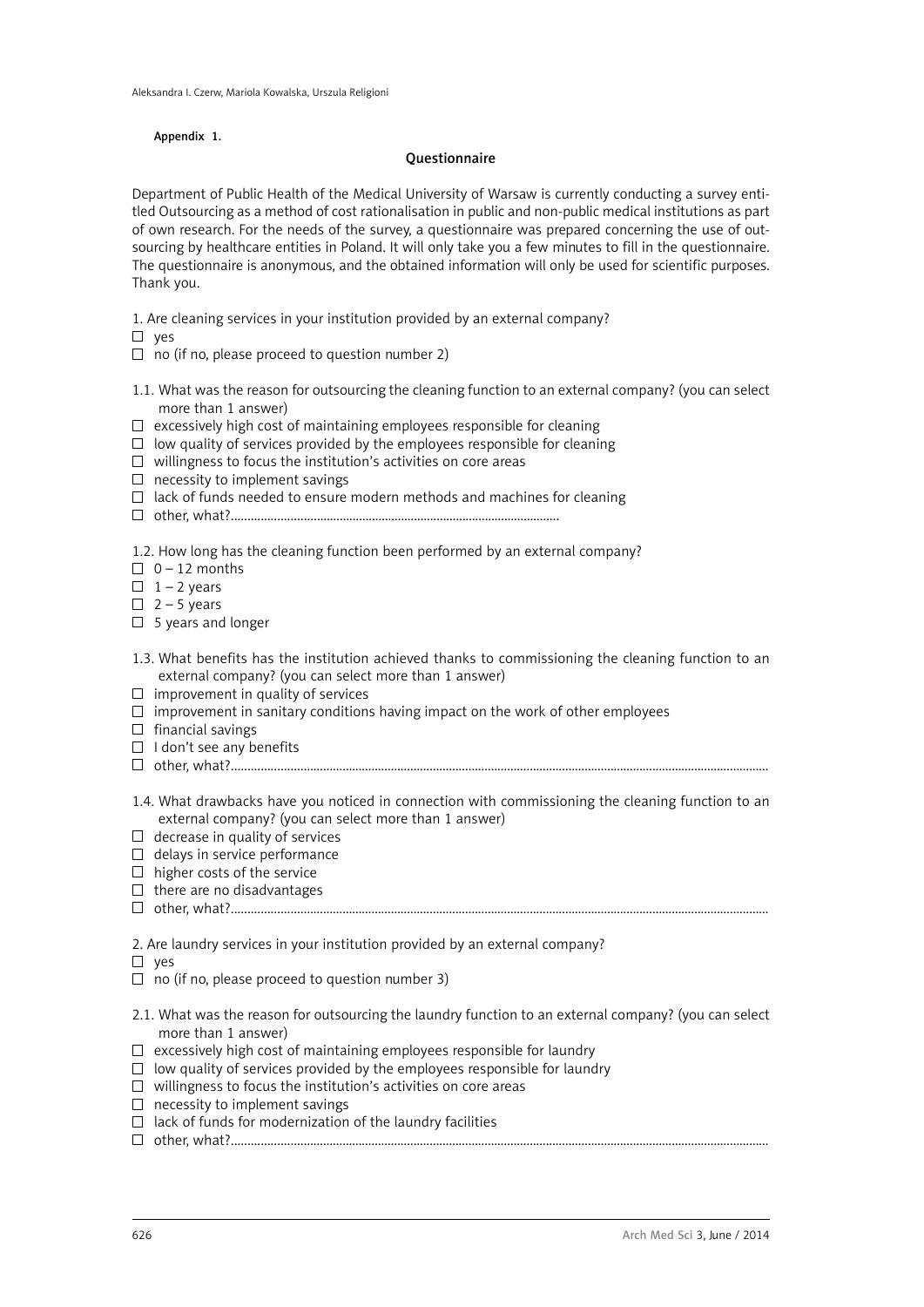Appendix 1.

## **Questionnaire**

Department of Public Health of the Medical University of Warsaw is currently conducting a survey entitled Outsourcing as a method of cost rationalisation in public and non-public medical institutions as part of own research. For the needs of the survey, a questionnaire was prepared concerning the use of outsourcing by healthcare entities in Poland. It will only take you a few minutes to fill in the questionnaire. The questionnaire is anonymous, and the obtained information will only be used for scientific purposes. Thank you.

- 1. Are cleaning services in your institution provided by an external company?
- $\Box$  yes
- $\Box$  no (if no, please proceed to question number 2)
- 1.1. What was the reason for outsourcing the cleaning function to an external company? (you can select more than 1 answer)
- $\Box$  excessively high cost of maintaining employees responsible for cleaning
- $\Box$  low quality of services provided by the employees responsible for cleaning
- $\Box$  willingness to focus the institution's activities on core areas
- $\Box$  necessity to implement savings
- $\Box$  lack of funds needed to ensure modern methods and machines for cleaning
- other, what?...........................………………………………………………………………..

1.2. How long has the cleaning function been performed by an external company?

- $\Box$  0 12 months
- $\Box$  1 2 years
- $\Box$  2 5 years
- $\Box$  5 years and longer
- 1.3. What benefits has the institution achieved thanks to commissioning the cleaning function to an external company? (you can select more than 1 answer)
- $\Box$  improvement in quality of services
- $\Box$  improvement in sanitary conditions having impact on the work of other employees
- $\Box$  financial savings
- $\Box$  I don't see any benefits
- other, what?......................………………………………………………………………………………………………………………………………
- 1.4. What drawbacks have you noticed in connection with commissioning the cleaning function to an external company? (you can select more than 1 answer)
- $\Box$  decrease in quality of services
- $\Box$  delays in service performance
- $\Box$  higher costs of the service
- $\Box$  there are no disadvantages
- other, what?......................………………………………………………………………………………………………………………………………

2. Are laundry services in your institution provided by an external company?

 $\square$  ves

- $\Box$  no (if no, please proceed to question number 3)
- 2.1. What was the reason for outsourcing the laundry function to an external company? (you can select more than 1 answer)
- $\Box$  excessively high cost of maintaining employees responsible for laundry
- $\Box$  low quality of services provided by the employees responsible for laundry
- $\Box$  willingness to focus the institution's activities on core areas
- $\Box$  necessity to implement savings
- $\Box$  lack of funds for modernization of the laundry facilities

## other, what?......................………………………………………………………………………………………………………………………………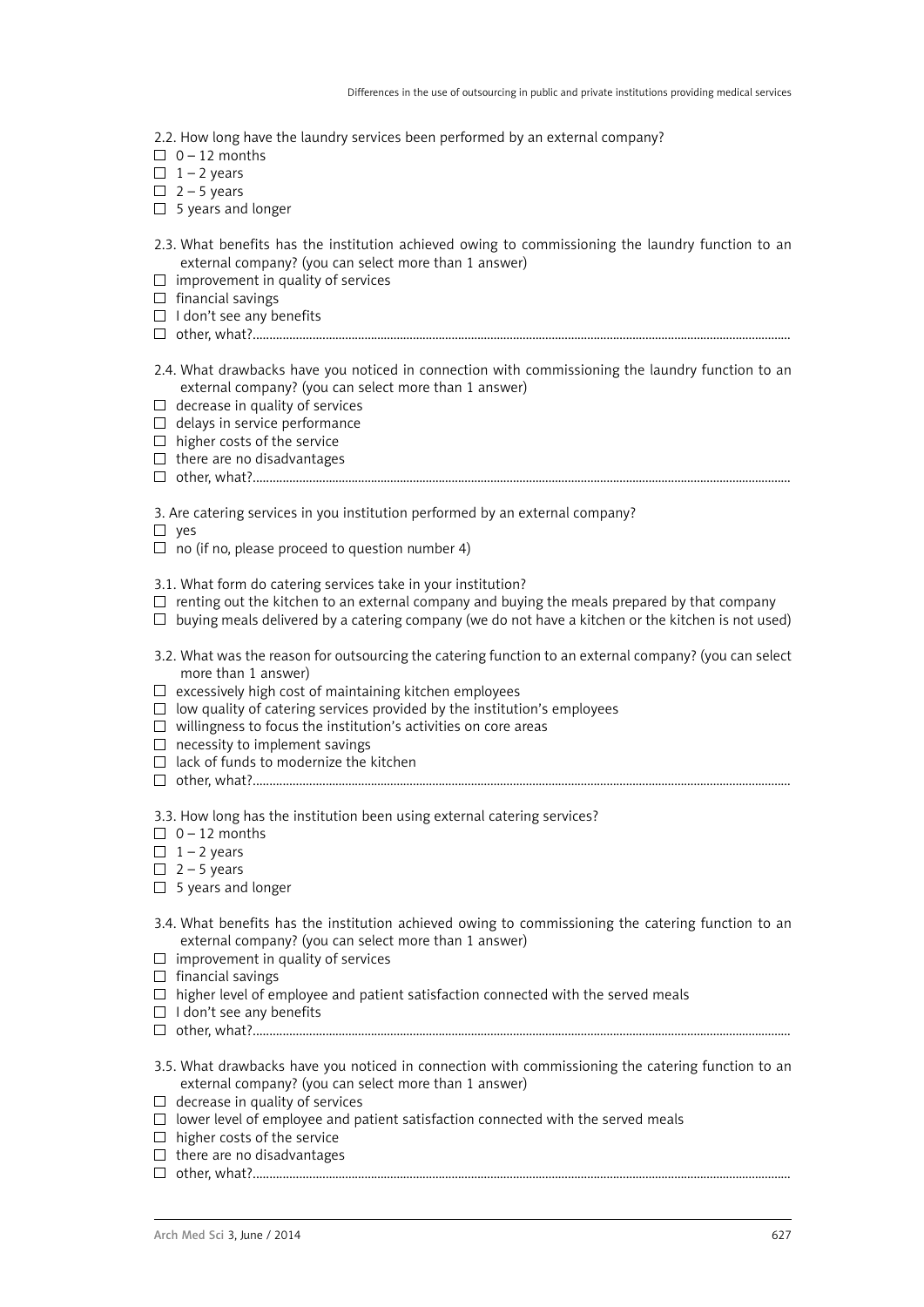2.2. How long have the laundry services been performed by an external company?

- $\Box$  0 12 months
- $\Box$  1 2 years
- $\Box$  2 5 years
- $\Box$  5 years and longer
- 2.3. What benefits has the institution achieved owing to commissioning the laundry function to an external company? (you can select more than 1 answer)
- $\Box$  improvement in quality of services
- $\Box$  financial savings
- $\Box$  I don't see any benefits
- other, what?......................………………………………………………………………………………………………………………………………
- 2.4. What drawbacks have you noticed in connection with commissioning the laundry function to an external company? (you can select more than 1 answer)
- $\Box$  decrease in quality of services
- $\Box$  delays in service performance
- $\Box$  higher costs of the service
- $\Box$  there are no disadvantages
- other, what?......................………………………………………………………………………………………………………………………………

3. Are catering services in you institution performed by an external company?

- $\Box$  yes
- $\Box$  no (if no, please proceed to question number 4)
- 3.1. What form do catering services take in your institution?
- $\Box$  renting out the kitchen to an external company and buying the meals prepared by that company
- $\Box$  buying meals delivered by a catering company (we do not have a kitchen or the kitchen is not used)
- 3.2. What was the reason for outsourcing the catering function to an external company? (you can select more than 1 answer)
- $\Box$  excessively high cost of maintaining kitchen employees
- $\Box$  low quality of catering services provided by the institution's employees
- $\Box$  willingness to focus the institution's activities on core areas
- $\Box$  necessity to implement savings
- $\Box$  lack of funds to modernize the kitchen
- other, what?......................………………………………………………………………………………………………………………………………

3.3. How long has the institution been using external catering services?

- $\Box$  0 12 months
- $\Box$  1 2 years
- $\Box$  2 5 years
- $\Box$  5 years and longer
- 3.4. What benefits has the institution achieved owing to commissioning the catering function to an external company? (you can select more than 1 answer)
- $\Box$  improvement in quality of services
- $\Box$  financial savings
- $\Box$  higher level of employee and patient satisfaction connected with the served meals
- $\Box$  I don't see any benefits
- other, what?......................………………………………………………………………………………………………………………………………
- 3.5. What drawbacks have you noticed in connection with commissioning the catering function to an external company? (you can select more than 1 answer)
- $\Box$  decrease in quality of services
- $\Box$  lower level of employee and patient satisfaction connected with the served meals
- $\Box$  higher costs of the service
- $\Box$  there are no disadvantages
- other, what?......................………………………………………………………………………………………………………………………………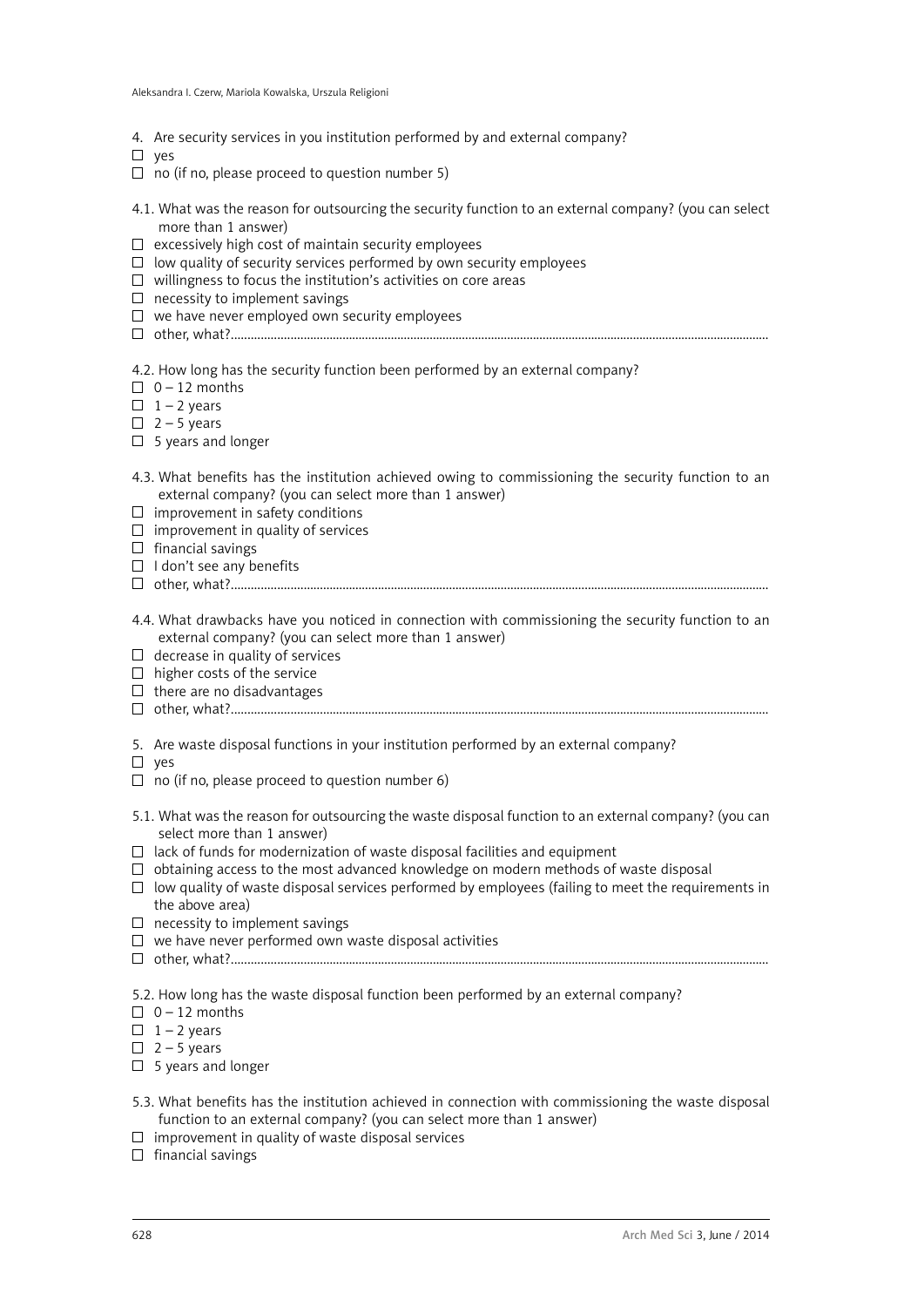- 4. Are security services in you institution performed by and external company?
- $\square$  yes
- $\Box$  no (if no, please proceed to question number 5)
- 4.1. What was the reason for outsourcing the security function to an external company? (you can select more than 1 answer)
- $\Box$  excessively high cost of maintain security employees
- $\Box$  low quality of security services performed by own security employees
- $\square$  willingness to focus the institution's activities on core areas
- $\Box$  necessity to implement savings
- $\square$  we have never employed own security employees
- other, what?......................………………………………………………………………………………………………………………………………

4.2. How long has the security function been performed by an external company?

- $\Box$  0 12 months
- $\Box$  1 2 years
- $\Box$  2 5 years
- $\Box$  5 years and longer
- 4.3. What benefits has the institution achieved owing to commissioning the security function to an external company? (you can select more than 1 answer)
- $\Box$  improvement in safety conditions
- $\Box$  improvement in quality of services
- $\Box$  financial savings
- $\Box$  I don't see any benefits
- other, what?......................………………………………………………………………………………………………………………………………
- 4.4. What drawbacks have you noticed in connection with commissioning the security function to an external company? (you can select more than 1 answer)
- $\Box$  decrease in quality of services
- $\Box$  higher costs of the service
- $\Box$  there are no disadvantages
- other, what?......................………………………………………………………………………………………………………………………………
- 5. Are waste disposal functions in your institution performed by an external company?
- $\square$  ves
- $\Box$  no (if no, please proceed to question number 6)
- 5.1. What was the reason for outsourcing the waste disposal function to an external company? (you can select more than 1 answer)
- $\Box$  lack of funds for modernization of waste disposal facilities and equipment
- $\Box$  obtaining access to the most advanced knowledge on modern methods of waste disposal
- $\Box$  low quality of waste disposal services performed by employees (failing to meet the requirements in the above area)
- $\Box$  necessity to implement savings
- $\Box$  we have never performed own waste disposal activities
- other, what?......................………………………………………………………………………………………………………………………………

5.2. How long has the waste disposal function been performed by an external company?

- $\Box$  0 12 months
- $\Box$  1 2 years
- $\Box$  2 5 years
- $\Box$  5 years and longer
- 5.3. What benefits has the institution achieved in connection with commissioning the waste disposal function to an external company? (you can select more than 1 answer)
- $\Box$  improvement in quality of waste disposal services
- $\Box$  financial savings